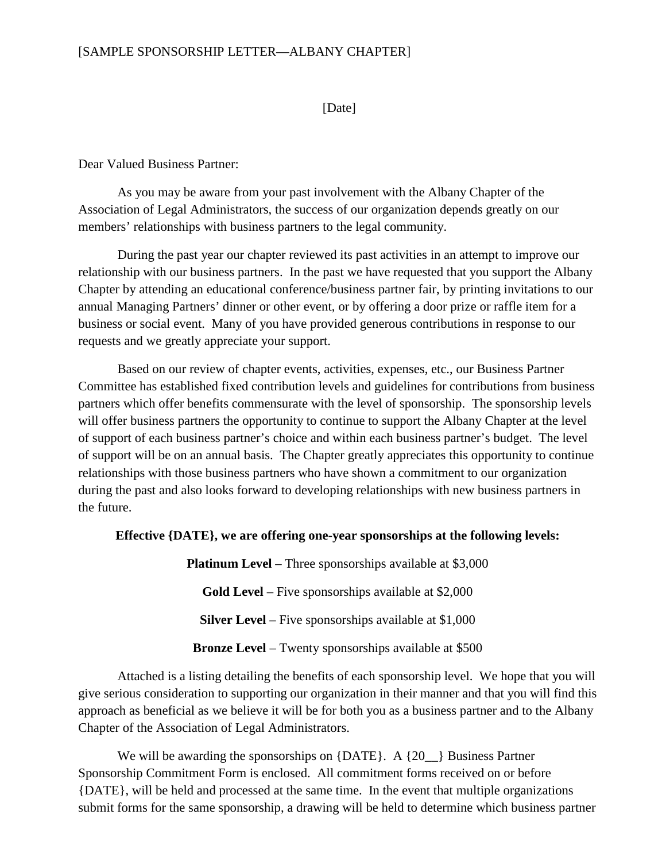## [SAMPLE SPONSORSHIP LETTER—ALBANY CHAPTER]

## [Date]

Dear Valued Business Partner:

As you may be aware from your past involvement with the Albany Chapter of the Association of Legal Administrators, the success of our organization depends greatly on our members' relationships with business partners to the legal community.

During the past year our chapter reviewed its past activities in an attempt to improve our relationship with our business partners. In the past we have requested that you support the Albany Chapter by attending an educational conference/business partner fair, by printing invitations to our annual Managing Partners' dinner or other event, or by offering a door prize or raffle item for a business or social event. Many of you have provided generous contributions in response to our requests and we greatly appreciate your support.

Based on our review of chapter events, activities, expenses, etc., our Business Partner Committee has established fixed contribution levels and guidelines for contributions from business partners which offer benefits commensurate with the level of sponsorship. The sponsorship levels will offer business partners the opportunity to continue to support the Albany Chapter at the level of support of each business partner's choice and within each business partner's budget. The level of support will be on an annual basis. The Chapter greatly appreciates this opportunity to continue relationships with those business partners who have shown a commitment to our organization during the past and also looks forward to developing relationships with new business partners in the future.

## **Effective {DATE}, we are offering one-year sponsorships at the following levels:**

**Platinum Level** – Three sponsorships available at \$3,000 **Gold Level** – Five sponsorships available at \$2,000 **Silver Level** – Five sponsorships available at \$1,000 **Bronze Level** – Twenty sponsorships available at \$500

Attached is a listing detailing the benefits of each sponsorship level. We hope that you will give serious consideration to supporting our organization in their manner and that you will find this approach as beneficial as we believe it will be for both you as a business partner and to the Albany Chapter of the Association of Legal Administrators.

We will be awarding the sponsorships on  ${|\text{DATE}|}$ . A  ${20 \choose 2}$  Business Partner Sponsorship Commitment Form is enclosed. All commitment forms received on or before {DATE}, will be held and processed at the same time. In the event that multiple organizations submit forms for the same sponsorship, a drawing will be held to determine which business partner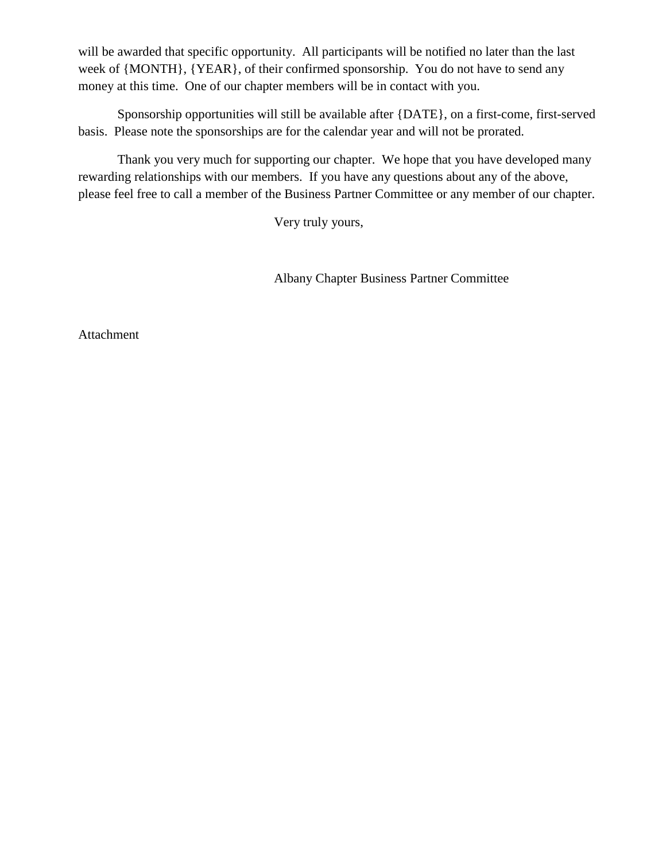will be awarded that specific opportunity. All participants will be notified no later than the last week of {MONTH}, {YEAR}, of their confirmed sponsorship. You do not have to send any money at this time. One of our chapter members will be in contact with you.

Sponsorship opportunities will still be available after {DATE}, on a first-come, first-served basis. Please note the sponsorships are for the calendar year and will not be prorated.

Thank you very much for supporting our chapter. We hope that you have developed many rewarding relationships with our members. If you have any questions about any of the above, please feel free to call a member of the Business Partner Committee or any member of our chapter.

Very truly yours,

Albany Chapter Business Partner Committee

Attachment